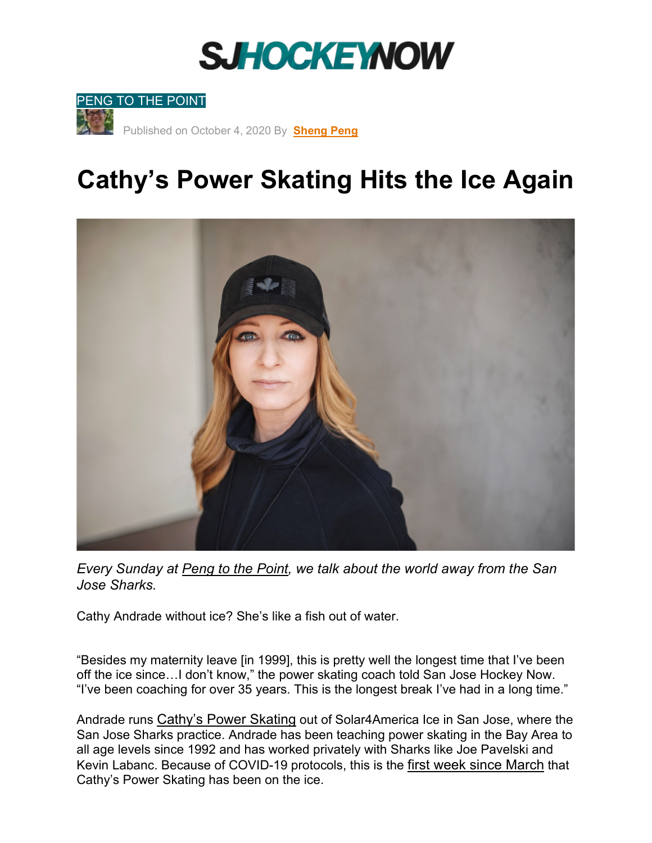## **SJHOCKEYNOW**



## **Cathy's Power Skating Hits the Ice Again**



*Every Sunday at [Peng to the](https://sanjosehockeynow.com/category/peng-to-the-point/) Point, we talk about the world away from the San Jose Sharks.* 

Cathy Andrade without ice? She's like a fish out of water.

"Besides my maternity leave [in 1999], this is pretty well the longest time that I've been off the ice since…I don't know," the power skating coach told San Jose Hockey Now. "I've been coaching for over 35 years. This is the longest break I've had in a long time."

Andrade runs [Cathy's Power Skating](https://cathyspowerskating.com/) out of Solar4America Ice in San Jose, where the San Jose Sharks practice. Andrade has been teaching power skating in the Bay Area to all age levels since 1992 and has worked privately with Sharks like Joe Pavelski and Kevin Labanc. Because of COVID-19 protocols, this is the [first week since March](https://www.fearthefin.com/2020/3/25/21193525/coronavirus-bay-area-hockey-covid19-california-san-jose-sharks) that Cathy's Power Skating has been on the ice.